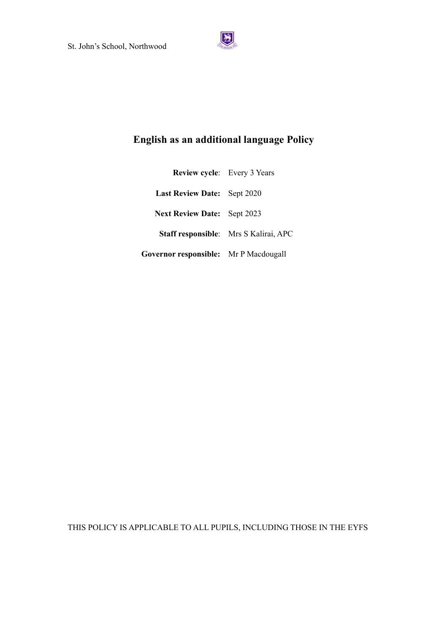

# **English as an additional language Policy**

| <b>Review cycle:</b> Every 3 Years    |                                              |
|---------------------------------------|----------------------------------------------|
| <b>Last Review Date:</b> Sept 2020    |                                              |
| <b>Next Review Date:</b> Sept 2023    |                                              |
|                                       | <b>Staff responsible:</b> Mrs S Kalirai, APC |
| Governor responsible: Mr P Macdougall |                                              |

THIS POLICY IS APPLICABLE TO ALL PUPILS, INCLUDING THOSE IN THE EYFS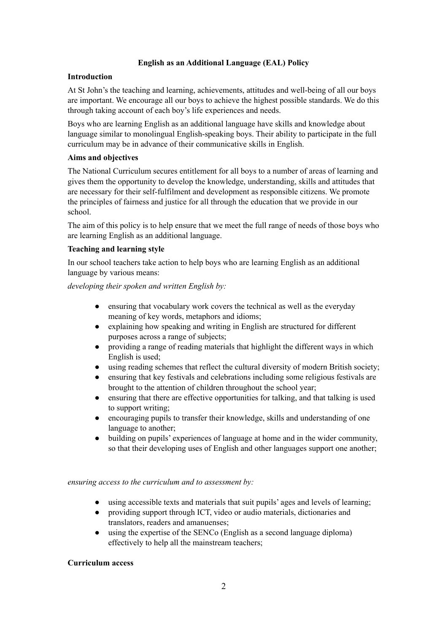## **English as an Additional Language (EAL) Policy**

## **Introduction**

At St John's the teaching and learning, achievements, attitudes and well-being of all our boys are important. We encourage all our boys to achieve the highest possible standards. We do this through taking account of each boy's life experiences and needs.

Boys who are learning English as an additional language have skills and knowledge about language similar to monolingual English-speaking boys. Their ability to participate in the full curriculum may be in advance of their communicative skills in English.

## **Aims and objectives**

The National Curriculum secures entitlement for all boys to a number of areas of learning and gives them the opportunity to develop the knowledge, understanding, skills and attitudes that are necessary for their self-fulfilment and development as responsible citizens. We promote the principles of fairness and justice for all through the education that we provide in our school.

The aim of this policy is to help ensure that we meet the full range of needs of those boys who are learning English as an additional language.

## **Teaching and learning style**

In our school teachers take action to help boys who are learning English as an additional language by various means:

*developing their spoken and written English by:*

- ensuring that vocabulary work covers the technical as well as the everyday meaning of key words, metaphors and idioms;
- explaining how speaking and writing in English are structured for different purposes across a range of subjects;
- providing a range of reading materials that highlight the different ways in which English is used;
- using reading schemes that reflect the cultural diversity of modern British society;
- ensuring that key festivals and celebrations including some religious festivals are brought to the attention of children throughout the school year;
- ensuring that there are effective opportunities for talking, and that talking is used to support writing;
- encouraging pupils to transfer their knowledge, skills and understanding of one language to another;
- building on pupils' experiences of language at home and in the wider community, so that their developing uses of English and other languages support one another;

#### *ensuring access to the curriculum and to assessment by:*

- using accessible texts and materials that suit pupils' ages and levels of learning;
- providing support through ICT, video or audio materials, dictionaries and translators, readers and amanuenses;
- using the expertise of the SENCo (English as a second language diploma) effectively to help all the mainstream teachers;

#### **Curriculum access**